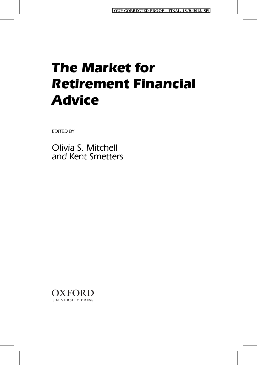EDITED BY

Olivia S. Mitchell and Kent Smetters

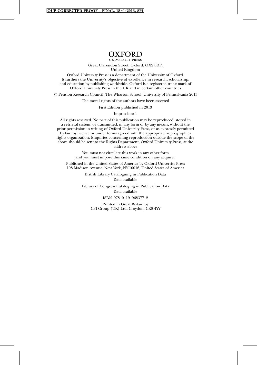#### OUP CORRECTED PROOF – FINAL, 18/9/2013, SPi

# OXFORD<br>UNIVERSITY PRESS

Great Clarendon Street, Oxford, OX2 6DP, United Kingdom

Oxford University Press is a department of the University of Oxford. It furthers the University's objective of excellence in research, scholarship, and education by publishing worldwide. Oxford is a registered trade mark of Oxford University Press in the UK and in certain other countries

 $\oslash$  Pension Research Council, The Wharton School, University of Pennsylvania 2013

The moral rights of the authors have been asserted

First Edition published in 2013

Impression: 1

All rights reserved. No part of this publication may be reproduced, stored in a retrieval system, or transmitted, in any form or by any means, without the prior permission in writing of Oxford University Press, or as expressly permitted by law, by licence or under terms agreed with the appropriate reprographics rights organization. Enquiries concerning reproduction outside the scope of the above should be sent to the Rights Department, Oxford University Press, at the address above

> You must not circulate this work in any other form and you must impose this same condition on any acquirer

Published in the United States of America by Oxford University Press 198 Madison Avenue, New York, NY 10016, United States of America

> British Library Cataloguing in Publication Data Data available

Library of Congress Cataloging in Publication Data Data available

ISBN 978–0–19–968377–2

Printed in Great Britain by CPI Group (UK) Ltd, Croydon, CR0 4YY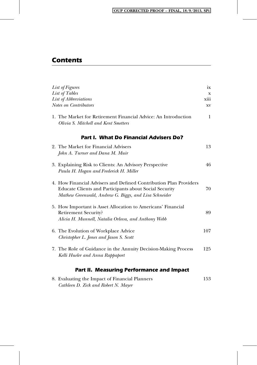# OUP CORRECTED PROOF – FINAL, 18/9/2013, SPi

# Contents

| List of Figures                                                                                                                                                                      | ix           |
|--------------------------------------------------------------------------------------------------------------------------------------------------------------------------------------|--------------|
| List of Tables                                                                                                                                                                       | X            |
| List of Abbreviations                                                                                                                                                                | xiii         |
| Notes on Contributors                                                                                                                                                                | XV           |
| 1. The Market for Retirement Financial Advice: An Introduction<br>Olivia S. Mitchell and Kent Smetters                                                                               | $\mathbf{1}$ |
| <b>Part I. What Do Financial Advisers Do?</b>                                                                                                                                        |              |
| 2. The Market for Financial Advisers                                                                                                                                                 | 13           |
| John A. Turner and Dana M. Muir                                                                                                                                                      |              |
|                                                                                                                                                                                      |              |
| 3. Explaining Risk to Clients: An Advisory Perspective                                                                                                                               | 46           |
| Paula H. Hogan and Frederick H. Miller                                                                                                                                               |              |
| 4. How Financial Advisers and Defined Contribution Plan Providers<br>Educate Clients and Participants about Social Security<br>Mathew Greenwald, Andrew G. Biggs, and Lisa Schneider | 70           |
| 5. How Important is Asset Allocation to Americans' Financial                                                                                                                         |              |
| <b>Retirement Security?</b>                                                                                                                                                          | 89           |
| Alicia H. Munnell, Natalia Orlova, and Anthony Webb                                                                                                                                  |              |
| 6. The Evolution of Workplace Advice<br>Christopher L. Jones and Jason S. Scott                                                                                                      | 107          |
|                                                                                                                                                                                      |              |
| 7. The Role of Guidance in the Annuity Decision-Making Process<br>Kelli Hueler and Anna Rappaport                                                                                    | 125          |
| <b>Part II. Measuring Performance and Impact</b>                                                                                                                                     |              |

| 8. Evaluating the Impact of Financial Planners | 153 |
|------------------------------------------------|-----|
| Cathleen D. Zick and Robert N. Mayer           |     |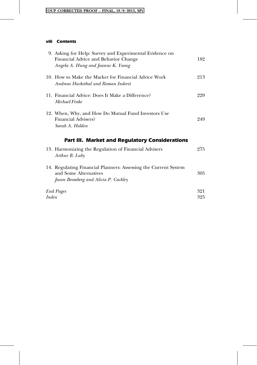# OUP CORRECTED PROOF – FINAL, 18/9/2013, SPi

# viii Contents

| 9. Asking for Help: Survey and Experimental Evidence on<br>Financial Advice and Behavior Change<br>Angela A. Hung and Joanne K. Yoong | 182        |
|---------------------------------------------------------------------------------------------------------------------------------------|------------|
| 10. How to Make the Market for Financial Advice Work<br>Andreas Hackethal and Roman Inderst                                           | 213        |
| 11. Financial Advice: Does It Make a Difference?<br>Michael Finke                                                                     | 229        |
| 12. When, Why, and How Do Mutual Fund Investors Use<br><b>Financial Advisers?</b><br>Sarah A. Holden                                  | 249        |
| <b>Part III. Market and Regulatory Considerations</b>                                                                                 |            |
| 13. Harmonizing the Regulation of Financial Advisers<br>Arthur B. Laby                                                                | 275        |
| 14. Regulating Financial Planners: Assessing the Current System<br>and Some Alternatives<br>Jason Bromberg and Alicia P. Cackley      | 305        |
| <b>End Pages</b>                                                                                                                      | 321<br>325 |
| Index                                                                                                                                 |            |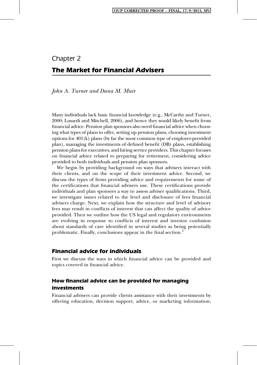# Chapter 2 The Market for Financial Advisers

John A. Turner and Dana M. Muir

Many individuals lack basic financial knowledge (e.g., McCarthy and Turner, 2000; Lusardi and Mitchell, 2006), and hence they would likely benefit from financial advice. Pension plan sponsors also need financial advice when choosing what types of plans to offer, setting up pension plans, choosing investment options for 401(k) plans (by far the most common type of employer-provided plan), managing the investments of defined benefit (DB) plans, establishing pension plans for executives, and hiring service providers. This chapter focuses on financial advice related to preparing for retirement, considering advice provided to both individuals and pension plan sponsors.

We begin by providing background on ways that advisers interact with their clients, and on the scope of their investment advice. Second, we discuss the types of firms providing advice and requirements for some of the certifications that financial advisers use. These certifications provide individuals and plan sponsors a way to assess adviser qualifications. Third, we investigate issues related to the level and disclosure of fees financial advisers charge. Next, we explain how the structure and level of advisory fees may result in conflicts of interest that can affect the quality of advice provided. Then we outline how the US legal and regulatory environments are evolving in response to conflicts of interest and investor confusion about standards of care identified in several studies as being potentially problematic. Finally, conclusions appear in the final section.<sup>1</sup>

# Financial advice for individuals

First we discuss the ways in which financial advice can be provided and topics covered in financial advice.

# How financial advice can be provided for managing investments

Financial advisers can provide clients assistance with their investments by offering education, decision support, advice, or marketing information;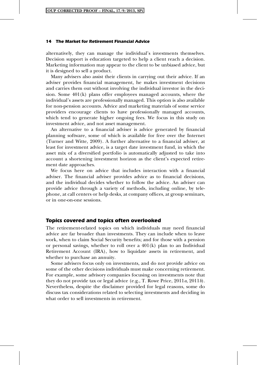alternatively, they can manage the individual's investments themselves. Decision support is education targeted to help a client reach a decision. Marketing information may appear to the client to be unbiased advice, but it is designed to sell a product.

Many advisers also assist their clients in carrying out their advice. If an adviser provides financial management, he makes investment decisions and carries them out without involving the individual investor in the decision. Some 401(k) plans offer employees managed accounts, where the individual's assets are professionally managed. This option is also available for non-pension accounts. Advice and marketing materials of some service providers encourage clients to have professionally managed accounts, which tend to generate higher ongoing fees. We focus in this study on investment advice, and not asset management.

An alternative to a financial adviser is advice generated by financial planning software, some of which is available for free over the Internet (Turner and Witte, 2009). A further alternative to a financial adviser, at least for investment advice, is a target date investment fund, in which the asset mix of a diversified portfolio is automatically adjusted to take into account a shortening investment horizon as the client's expected retirement date approaches.

We focus here on advice that includes interaction with a financial adviser. The financial adviser provides advice as to financial decisions, and the individual decides whether to follow the advice. An adviser can provide advice through a variety of methods, including online, by telephone, at call centers or help desks, at company offices, at group seminars, or in one-on-one sessions.

# Topics covered and topics often overlooked

The retirement-related topics on which individuals may need financial advice are far broader than investments. They can include when to leave work, when to claim Social Security benefits; and for those with a pension or personal savings, whether to roll over a  $401(k)$  plan to an Individual Retirement Account (IRA), how to liquidate assets in retirement, and whether to purchase an annuity.

Some advisers focus only on investments, and do not provide advice on some of the other decisions individuals must make concerning retirement. For example, some advisory companies focusing on investments note that they do not provide tax or legal advice (e.g., T. Rowe Price,  $2011a$ ,  $2011b$ ). Nevertheless, despite the disclaimer provided for legal reasons, some do discuss tax considerations related to selecting investments and deciding in what order to sell investments in retirement.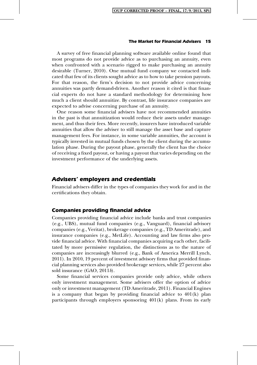A survey of free financial planning software available online found that most programs do not provide advice as to purchasing an annuity, even when confronted with a scenario rigged to make purchasing an annuity desirable (Turner, 2010). One mutual fund company we contacted indicated that few of its clients sought advice as to how to take pension payouts. For that reason, the firm's decision to not provide advice concerning annuities was partly demand-driven. Another reason it cited is that financial experts do not have a standard methodology for determining how much a client should annuitize. By contrast, life insurance companies are expected to advise concerning purchase of an annuity.

One reason some financial advisers have not recommended annuities in the past is that annuitization would reduce their assets under management, and thus their fees. More recently, insurers have introduced variable annuities that allow the adviser to still manage the asset base and capture management fees. For instance, in some variable annuities, the account is typically invested in mutual funds chosen by the client during the accumulation phase. During the payout phase, generally the client has the choice of receiving a fixed payout, or having a payout that varies depending on the investment performance of the underlying assets.

# Advisers' employers and credentials

Financial advisers differ in the types of companies they work for and in the certifications they obtain.

# Companies providing financial advice

Companies providing financial advice include banks and trust companies (e.g., UBS), mutual fund companies (e.g., Vanguard), financial advisory companies (e.g., Veritat), brokerage companies (e.g., TD Ameritrade), and insurance companies (e.g., MetLife). Accounting and law firms also provide financial advice. With financial companies acquiring each other, facilitated by more permissive regulation, the distinctions as to the nature of companies are increasingly blurred (e.g., Bank of America Merrill Lynch, 2011). In 2010, 19 percent of investment advisory firms that provided financial planning services also provided brokerage services, while 27 percent also sold insurance (GAO, 2011b).

Some financial services companies provide only advice, while others only investment management. Some advisers offer the option of advice only or investment management (TD Ameritrade, 2011). Financial Engines is a company that began by providing financial advice to 401(k) plan participants through employers sponsoring 401(k) plans. From its early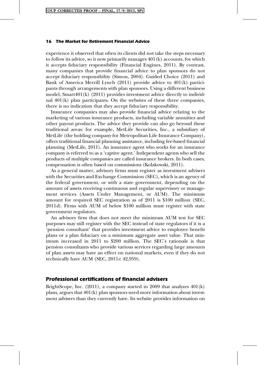experience it observed that often its clients did not take the steps necessary to follow its advice, so it now primarily manages  $401(k)$  accounts, for which it accepts fiduciary responsibility (Financial Engines, 2011). By contrast, many companies that provide financial advice to plan sponsors do not accept fiduciary responsibility (Simon, 2004). Guided Choice (2011) and Bank of America Merrill Lynch (2011) provide advice to 401(k) participants through arrangements with plan sponsors. Using a different business model, Smart401(k) (2011) provides investment advice directly to individual  $401(k)$  plan participants. On the websites of these three companies, there is no indication that they accept fiduciary responsibility.

Insurance companies may also provide financial advice relating to the marketing of various insurance products, including variable annuities and other payout products. The advice they provide can also go beyond these traditional areas: for example, MetLife Securities, Inc., a subsidiary of MetLife (the holding company for Metropolitan Life Insurance Company), offers traditional financial planning assistance, including fee-based financial planning (MetLife, 2011). An insurance agent who works for an insurance company is referred to as a 'captive agent.' Independent agents who sell the products of multiple companies are called insurance brokers. In both cases, compensation is often based on commissions (Kolakowski, 2011).

As a general matter, advisory firms must register as investment advisers with the Securities and Exchange Commission (SEC), which is an agency of the federal government, or with a state government, depending on the amount of assets receiving continuous and regular supervisory or management services (Assets Under Management, or AUM). The minimum amount for required SEC registration as of 2011 is \$100 million (SEC,  $2011d$ . Firms with AUM of below \$100 million must register with state government regulators.

An advisory firm that does not meet the minimum AUM test for SEC purposes may still register with the SEC instead of state regulators if it is a 'pension consultant' that provides investment advice to employee benefit plans or a plan fiduciary on a minimum aggregate asset value. That minimum increased in 2011 to \$200 million. The SEC's rationale is that pension consultants who provide various services regarding large amounts of plan assets may have an effect on national markets, even if they do not technically have AUM (SEC,  $2011e$ : 42,959).

# Professional certifications of financial advisers

BrightScope, Inc.  $(2011)$ , a company started in 2009 that analyzes  $401(k)$ plans, argues that 401(k) plan sponsors need more information about investment advisers than they currently have. Its website provides information on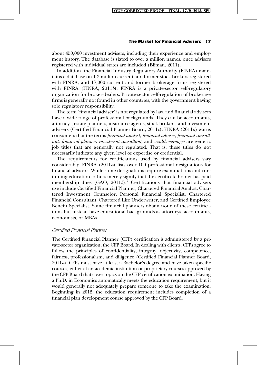about 450,000 investment advisers, including their experience and employment history. The database is slated to over a million names, once advisers registered with individual states are included (Bliman, 2011).

In addition, the Financial Industry Regulatory Authority (FINRA) maintains a database on 1.3 million current and former stock brokers registered with FINRA, and 17,000 current and former brokerage firms registered with FINRA (FINRA,  $2011b$ ). FINRA is a private-sector self-regulatory organization for broker-dealers. Private-sector self-regulation of brokerage firms is generally not found in other countries, with the government having sole regulatory responsibility.

The term 'financial adviser' is not regulated by law, and financial advisers have a wide range of professional backgrounds. They can be accountants, attorneys, estate planners, insurance agents, stock brokers, and investment advisers (Certified Financial Planner Board,  $2011c$ ). FINRA (2011a) warns consumers that the terms financial analyst, financial adviser, financial consultant, financial planner, investment consultant, and wealth manager are generic job titles that are generally not regulated. That is, these titles do not necessarily indicate any given level of expertise or credential.

The requirements for certifications used by financial advisers vary considerably. FINRA (2011a) lists over 100 professional designations for financial advisers. While some designations require examinations and continuing education, others merely signify that the certificate holder has paid membership dues  $(GAO, 2011b)^2$ . Certifications that financial advisers use include Certified Financial Planner, Chartered Financial Analyst, Chartered Investment Counselor, Personal Financial Specialist, Chartered Financial Consultant, Chartered Life Underwriter, and Certified Employee Benefit Specialist. Some financial planners obtain none of these certifications but instead have educational backgrounds as attorneys, accountants, economists, or MBAs.

# Certified Financial Planner

The Certified Financial Planner (CFP) certification is administered by a private-sector organization, the CFP Board. In dealing with clients, CFPs agree to follow the principles of confidentiality, integrity, objectivity, competence, fairness, professionalism, and diligence (Certified Financial Planner Board,  $2011a$ ). CFPs must have at least a Bachelor's degree and have taken specific courses, either at an academic institution or proprietary courses approved by the CFP Board that cover topics on the CFP certification examination. Having a Ph.D. in Economics automatically meets the education requirement, but it would generally not adequately prepare someone to take the examination. Beginning in 2012, the education requirement includes completion of a financial plan development course approved by the CFP Board.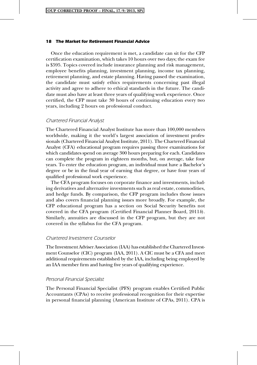Once the education requirement is met, a candidate can sit for the CFP certification examination, which takes 10 hours over two days; the exam fee is \$595. Topics covered include insurance planning and risk management, employee benefits planning, investment planning, income tax planning, retirement planning, and estate planning. Having passed the examination, the candidate must satisfy ethics requirements concerning past illegal activity and agree to adhere to ethical standards in the future. The candidate must also have at least three years of qualifying work experience. Once certified, the CFP must take 30 hours of continuing education every two years, including 2 hours on professional conduct.

# Chartered Financial Analyst

The Chartered Financial Analyst Institute has more than 100,000 members worldwide, making it the world's largest association of investment professionals (Chartered Financial Analyst Institute, 2011). The Chartered Financial Analyst (CFA) educational program requires passing three examinations for which candidates spend on average 300 hours preparing for each. Candidates can complete the program in eighteen months, but, on average, take four years. To enter the education program, an individual must have a Bachelor's degree or be in the final year of earning that degree, or have four years of qualified professional work experience.

The CFA program focuses on corporate finance and investments, including derivatives and alternative investments such as real estate, commodities, and hedge funds. By comparison, the CFP program includes those issues and also covers financial planning issues more broadly. For example, the CFP educational program has a section on Social Security benefits not covered in the CFA program (Certified Financial Planner Board, 2011b). Similarly, annuities are discussed in the CFP program, but they are not covered in the syllabus for the CFA program.

# Chartered Investment Counselor

The Investment Adviser Association (IAA) has established theChartered Investment Counselor (CIC) program (IAA, 2011). A CIC must be a CFA and meet additional requirements established by the IAA, including being employed by an IAA member firm and having five years of qualifying experience.

# Personal Financial Specialist

The Personal Financial Specialist (PFS) program enables Certified Public Accountants (CPAs) to receive professional recognition for their expertise in personal financial planning (American Institute of CPAs, 2011). CPA is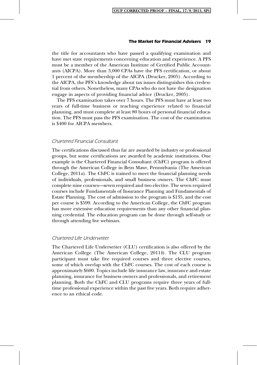the title for accountants who have passed a qualifying examination and have met state requirements concerning education and experience. A PFS must be a member of the American Institute of Certified Public Accountants (AICPA). More than 3,000 CPAs have the PFS certification, or about 1 percent of the membership of the AICPA (Drucker, 2005). According to the AICPA, the PFS's knowledge about tax issues distinguishes this credential from others. Nonetheless, many CPAs who do not have the designation engage in aspects of providing financial advice (Drucker, 2005).

The PFS examination takes over 7 hours. The PFS must have at least two years of full-time business or teaching experience related to financial planning, and must complete at least 80 hours of personal financial education. The PFS must pass the PFS examination. The cost of the examination is \$400 for AICPA members.

# Chartered Financial Consultant

The certifications discussed thus far are awarded by industry or professional groups, but some certifications are awarded by academic institutions. One example is the Chartered Financial Consultant (ChFC) program is offered through the American College in Bryn Mawr, Pennsylvania (The American College, 2011a). The ChFC is trained to meet the financial planning needs of individuals, professionals, and small business owners. The ChFC must complete nine courses—seven required and two elective. The seven required courses include Fundamentals of Insurance Planning and Fundamentals of Estate Planning. The cost of admission to the program is \$135, and the cost per course is \$599. According to the American College, the ChFC program has more extensive education requirements than any other financial planning credential. The education program can be done through self-study or through attending live webinars.

# Chartered Life Underwriter

The Chartered Life Underwriter (CLU) certification is also offered by the American College (The American College, 2011b). The CLU program participant must take five required courses and three elective courses, some of which overlap with the ChFC courses. The cost of each course is approximately \$600. Topics include life insurance law, insurance and estate planning, insurance for business owners and professionals, and retirement planning. Both the ChFC and CLU programs require three years of fulltime professional experience within the past five years. Both require adherence to an ethical code.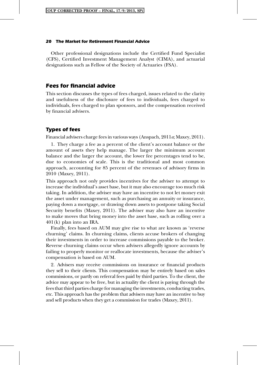Other professional designations include the Certified Fund Specialist (CFS), Certified Investment Management Analyst (CIMA), and actuarial designations such as Fellow of the Society of Actuaries (FSA).

# Fees for financial advice

This section discusses the types of fees charged, issues related to the clarity and usefulness of the disclosure of fees to individuals, fees charged to individuals, fees charged to plan sponsors, and the compensation received by financial advisers.

# Types of fees

Financial advisers charge fees in various ways (Anspach,  $2011a$ ; Maxey,  $2011$ ).

1. They charge a fee as a percent of the client's account balance or the amount of assets they help manage. The larger the minimum account balance and the larger the account, the lower fee percentages tend to be, due to economies of scale. This is the traditional and most common approach, accounting for 85 percent of the revenues of advisory firms in 2010 (Maxey, 2011).

This approach not only provides incentives for the adviser to attempt to increase the individual's asset base, but it may also encourage too much risk taking. In addition, the adviser may have an incentive to not let money exit the asset under management, such as purchasing an annuity or insurance, paying down a mortgage, or drawing down assets to postpone taking Social Security benefits (Maxey, 2011). The adviser may also have an incentive to make moves that bring money into the asset base, such as rolling over a 401(k) plan into an IRA.

Finally, fees based on AUM may give rise to what are known as 'reverse churning' claims. In churning claims, clients accuse brokers of changing their investments in order to increase commissions payable to the broker. Reverse churning claims occur when advisers allegedly ignore accounts by failing to properly monitor or reallocate investments, because the adviser's compensation is based on AUM.

2. Advisers may receive commissions on insurance or financial products they sell to their clients. This compensation may be entirely based on sales commissions, or partly on referral fees paid by third parties. To the client, the advice may appear to be free, but in actuality the client is paying through the fees that third parties charge for managing the investments, conducting trades, etc. This approach has the problem that advisers may have an incentive to buy and sell products when they get a commission for trades (Maxey, 2011).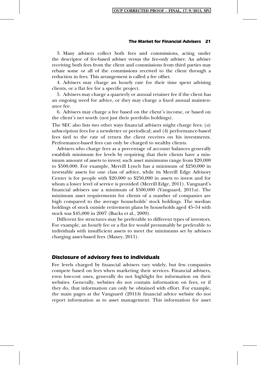3. Many advisers collect both fees and commissions, acting under the descriptor of fee-based adviser versus the fee-only adviser. An adviser receiving both fees from the client and commissions from third parties may rebate some or all of the commissions received to the client through a reduction in fees. This arrangement is called a fee offset.

4. Advisers may charge an hourly rate for their time spent advising clients, or a flat fee for a specific project.

5. Advisers may charge a quarterly or annual retainer fee if the client has an ongoing need for advice, or they may charge a fixed annual maintenance fee.

6. Advisers may charge a fee based on the client's income, or based on the client's net worth (not just their portfolio holdings).

The SEC also lists two other ways financial advisers might charge fees:  $(a)$ subscription fees for a newsletter or periodical; and  $(b)$  performance-based fees tied to the rate of return the client receives on his investments. Performance-based fees can only be charged to wealthy clients.

Advisers who charge fees as a percentage of account balances generally establish minimum fee levels by requiring that their clients have a minimum amount of assets to invest; such asset minimums range from \$20,000 to \$500,000. For example, Merrill Lynch has a minimum of \$250,000 in investable assets for one class of advice, while its Merrill Edge Advisory Center is for people with \$20,000 to \$250,000 in assets to invest and for whom a lower level of service is provided (Merrill Edge, 2011). Vanguard's financial advisers use a minimum of \$500,000 (Vanguard, 2011a). The minimum asset requirements for clients of a number of companies are high compared to the average households' stock holdings. The median holdings of stock outside retirement plans by households aged 45–54 with stock was \$45,000 in 2007 (Bucks et al., 2009).

Different fee structures may be preferable to different types of investors. For example, an hourly fee or a flat fee would presumably be preferable to individuals with insufficient assets to meet the minimums set by advisers charging asset-based fees (Maxey, 2011).

# Disclosure of advisory fees to individuals

Fee levels charged by financial advisers vary widely, but few companies compete based on fees when marketing their services. Financial advisers, even low-cost ones, generally do not highlight fee information on their websites. Generally, websites do not contain information on fees, or if they do, that information can only be obtained with effort. For example, the main pages at the Vanguard  $(2011b)$  financial advice website do not report information as to asset management. This information for asset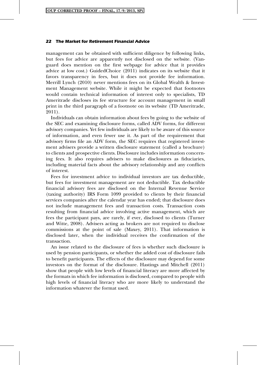management can be obtained with sufficient diligence by following links, but fees for advice are apparently not disclosed on the website. (Vanguard does mention on the first webpage for advice that it provides advice at low cost.) GuidedChoice (2011) indicates on its website that it favors transparency in fees, but it does not provide fee information. Merrill Lynch (2010) never mentions fees on its Global Wealth & Investment Management website. While it might be expected that footnotes would contain technical information of interest only to specialists, TD Ameritrade discloses its fee structure for account management in small print in the third paragraph of a footnote on its website (TD Ameritrade, 2011).

Individuals can obtain information about fees by going to the website of the SEC and examining disclosure forms, called ADV forms, for different advisory companies. Yet few individuals are likely to be aware of this source of information, and even fewer use it. As part of the requirement that advisory firms file an ADV form, the SEC requires that registered investment advisers provide a written disclosure statement (called a brochure) to clients and prospective clients. Disclosure includes information concerning fees. It also requires advisers to make disclosures as fiduciaries, including material facts about the advisory relationship and any conflicts of interest.

Fees for investment advice to individual investors are tax deductible, but fees for investment management are not deductible. Tax deductible financial advisory fees are disclosed on the Internal Revenue Service (taxing authority) IRS Form 1099 provided to clients by their financial services companies after the calendar year has ended; that disclosure does not include management fees and transaction costs. Transaction costs resulting from financial advice involving active management, which are fees the participant pays, are rarely, if ever, disclosed to clients (Turner and Witte, 2008). Advisers acting as brokers are not required to disclose commissions at the point of sale (Maxey, 2011). That information is disclosed later, when the individual receives the confirmation of the transaction.

An issue related to the disclosure of fees is whether such disclosure is used by pension participants, or whether the added cost of disclosure fails to benefit participants. The effects of the disclosure may depend for some investors on the format of the disclosure. Hastings and Mitchell (2011) show that people with low levels of financial literacy are more affected by the formats in which fee information is disclosed, compared to people with high levels of financial literacy who are more likely to understand the information whatever the format used.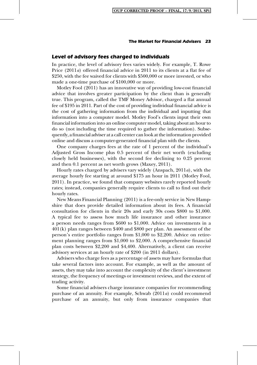# Level of advisory fees charged to individuals

In practice, the level of advisory fees varies widely. For example, T. Rowe Price (2011a) offered financial advice in 2011 to its clients at a flat fee of \$250, with the fee waived for clients with \$500,000 or more invested, or who made a one-time purchase of \$100,000 or more.

Motley Fool (2011) has an innovative way of providing low-cost financial advice that involves greater participation by the client than is generally true. This program, called the TMF Money Advisor, charged a flat annual fee of \$195 in 2011. Part of the cost of providing individual financial advice is the cost of gathering information from the individual and inputting that information into a computer model. Motley Fool's clients input their own financial information into an online computer model, taking about an hour to do so (not including the time required to gather the information). Subsequently, a financial adviser at a call center can look at the information provided online and discuss a computer-generated financial plan with the clients.

One company charges fees at the rate of 1 percent of the individual's Adjusted Gross Income plus 0.5 percent of their net worth (excluding closely held businesses), with the second fee declining to 0.25 percent and then 0.1 percent as net worth grows (Maxey, 2011).

Hourly rates charged by advisers vary widely (Anspach,  $2011a$ ), with the average hourly fee starting at around \$175 an hour in 2011 (Motley Fool, 2011). In practice, we found that company websites rarely reported hourly rates; instead, companies generally require clients to call to find out their hourly rates.

New Means Financial Planning (2011) is a fee-only service in New Hampshire that does provide detailed information about its fees. A financial consultation for clients in their 20s and early 30s costs \$800 to \$1,000. A typical fee to assess how much life insurance and other insurance a person needs ranges from \$600 to \$1,000. Advice on investments in a 401(k) plan ranges between \$400 and \$800 per plan. An assessment of the person's entire portfolio ranges from \$1,000 to \$2,200. Advice on retirement planning ranges from \$1,000 to \$2,000. A comprehensive financial plan costs between \$2,200 and \$4,400. Alternatively, a client can receive advisory services at an hourly rate of \$200 (in 2011 dollars).

Advisers who charge fees as a percentage of assets may have formulas that take several factors into account. For example, as well as the amount of assets, they may take into account the complexity of the client's investment strategy, the frequency of meetings or investment reviews, and the extent of trading activity.

Some financial advisers charge insurance companies for recommending purchase of an annuity. For example, Schwab (2011a) could recommend purchase of an annuity, but only from insurance companies that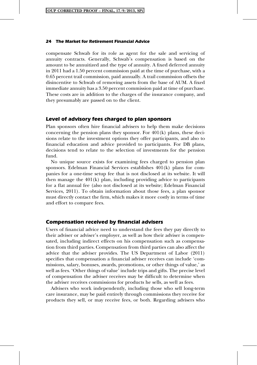compensate Schwab for its role as agent for the sale and servicing of annuity contracts. Generally, Schwab's compensation is based on the amount to be annuitized and the type of annuity. A fixed deferred annuity in 2011 had a 1.50 percent commission paid at the time of purchase, with a 0.65 percent trail commission, paid annually. A trail commission offsets the disincentive to Schwab of removing assets from the base of AUM. A fixed immediate annuity has a 3.50 percent commission paid at time of purchase. These costs are in addition to the charges of the insurance company, and they presumably are passed on to the client.

# Level of advisory fees charged to plan sponsors

Plan sponsors often hire financial advisers to help them make decisions concerning the pension plans they sponsor. For  $401(k)$  plans, these decisions relate to the investment options they offer participants, and also to financial education and advice provided to participants. For DB plans, decisions tend to relate to the selection of investments for the pension fund.

No unique source exists for examining fees charged to pension plan sponsors. Edelman Financial Services establishes 401(k) plans for companies for a one-time setup fee that is not disclosed at its website. It will then manage the  $401(k)$  plan, including providing advice to participants for a flat annual fee (also not disclosed at its website; Edelman Financial Services, 2011). To obtain information about those fees, a plan sponsor must directly contact the firm, which makes it more costly in terms of time and effort to compare fees.

# Compensation received by financial advisers

Users of financial advice need to understand the fees they pay directly to their adviser or adviser's employer, as well as how their adviser is compensated, including indirect effects on his compensation such as compensation from third parties. Compensation from third parties can also affect the advice that the adviser provides. The US Department of Labor (2011) specifies that compensation a financial adviser receives can include 'commissions, salary, bonuses, awards, promotions, or other things of value,' as well as fees. 'Other things of value' include trips and gifts. The precise level of compensation the adviser receives may be difficult to determine when the adviser receives commissions for products he sells, as well as fees.

Advisers who work independently, including those who sell long-term care insurance, may be paid entirely through commissions they receive for products they sell, or may receive fees, or both. Regarding advisers who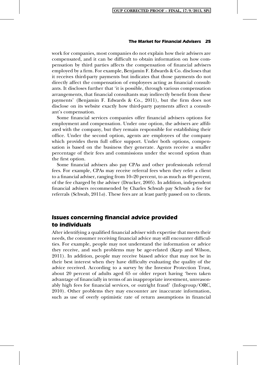work for companies, most companies do not explain how their advisers are compensated, and it can be difficult to obtain information on how compensation by third parties affects the compensation of financial advisers employed by a firm. For example, Benjamin F. Edwards & Co. discloses that it receives third-party payments but indicates that those payments do not directly affect the compensation of employees acting as financial consultants. It discloses further that 'it is possible, through various compensation arrangements, that financial consultants may indirectly benefit from these payments' (Benjamin F. Edwards & Co., 2011), but the firm does not disclose on its website exactly how third-party payments affect a consultant's compensation.

Some financial services companies offer financial advisers options for employment and compensation. Under one option, the advisers are affiliated with the company, but they remain responsible for establishing their office. Under the second option, agents are employees of the company which provides them full office support. Under both options, compensation is based on the business they generate. Agents receive a smaller percentage of their fees and commissions under the second option than the first option.

Some financial advisers also pay CPAs and other professionals referral fees. For example, CPAs may receive referral fees when they refer a client to a financial adviser, ranging from 10–20 percent, to as much as 40 percent, of the fee charged by the adviser (Drucker, 2005). In addition, independent financial advisers recommended by Charles Schwab pay Schwab a fee for referrals (Schwab,  $2011a$ ). These fees are at least partly passed on to clients.

# Issues concerning financial advice provided to individuals

After identifying a qualified financial adviser with expertise that meets their needs, the consumer receiving financial advice may still encounter difficulties. For example, people may not understand the information or advice they receive, and such problems may be age-related (Karp and Wilson, 2011). In addition, people may receive biased advice that may not be in their best interest when they have difficulty evaluating the quality of the advice received. According to a survey by the Investor Protection Trust, about 20 percent of adults aged 65 or older report having 'been taken advantage of financially in terms of an inappropriate investment, unreasonably high fees for financial services, or outright fraud' (Infogroup/ORC, 2010). Other problems they may encounter are inaccurate information, such as use of overly optimistic rate of return assumptions in financial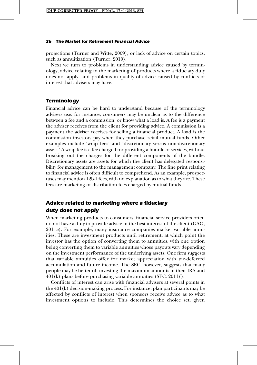projections (Turner and Witte, 2009), or lack of advice on certain topics, such as annuitization (Turner, 2010).

Next we turn to problems in understanding advice caused by terminology, advice relating to the marketing of products where a fiduciary duty does not apply, and problems in quality of advice caused by conflicts of interest that advisers may have.

# **Terminology**

Financial advice can be hard to understand because of the terminology advisers use: for instance, consumers may be unclear as to the difference between a fee and a commission, or know what a load is. A fee is a payment the adviser receives from the client for providing advice. A commission is a payment the adviser receives for selling a financial product. A load is the commission investors pay when they purchase retail mutual funds. Other examples include 'wrap fees' and 'discretionary versus non-discretionary assets.' A wrap fee is a fee charged for providing a bundle of services, without breaking out the charges for the different components of the bundle. Discretionary assets are assets for which the client has delegated responsibility for management to the management company. The fine print relating to financial advice is often difficult to comprehend. As an example, prospectuses may mention 12b-1 fees, with no explanation as to what they are. These fees are marketing or distribution fees charged by mutual funds.

# Advice related to marketing where a fiduciary duty does not apply

When marketing products to consumers, financial service providers often do not have a duty to provide advice in the best interest of the client (GAO,  $2011a$ . For example, many insurance companies market variable annuities. These are investment products until retirement, at which point the investor has the option of converting them to annuities, with one option being converting them to variable annuities whose payouts vary depending on the investment performance of the underlying assets. One firm suggests that variable annuities offer for market appreciation with tax-deferred accumulation and future income. The SEC, however, suggests that many people may be better off investing the maximum amounts in their IRA and  $401(k)$  plans before purchasing variable annuities (SEC,  $2011f$ ).

Conflicts of interest can arise with financial advisers at several points in the 401(k) decision-making process. For instance, plan participants may be affected by conflicts of interest when sponsors receive advice as to what investment options to include. This determines the choice set, given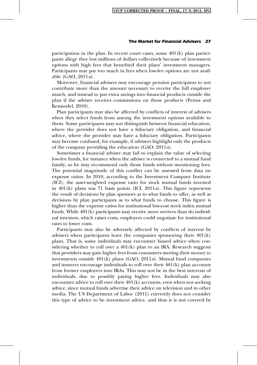participation in the plan. In recent court cases, some  $401(k)$  plan participants allege they lost millions of dollars collectively because of investment options with high fees that benefited their plans' investment managers. Participants may pay too much in fees when low-fee options are not available (GAO, 2011a).

Moreover, financial advisers may encourage pension participants to not contribute more than the amount necessary to receive the full employer match, and instead to put extra savings into financial products outside the plan if the adviser receives commissions on those products (Pettus and Kesmodel, 2010).

Plan participants may also be affected by conflicts of interest of advisers when they select funds from among the investment options available to them. Some participants may not distinguish between financial education, where the provider does not have a fiduciary obligation, and financial advice, where the provider may have a fiduciary obligation. Participants may become confused, for example, if advisers highlight only the products of the company providing the education (GAO, 2011a).

Sometimes a financial adviser may fail to explain the value of selecting low-fee funds, for instance when the adviser is connected to a mutual fund family, so he may recommend only those funds without mentioning fees. The potential magnitude of this conflict can be assessed from data on expense ratios. In 2010, according to the Investment Company Institute (ICI), the asset-weighted expense ratio for stock mutual funds invested in  $401(k)$  plans was 71 basis points (ICI,  $2011a$ ). This figure represents the result of decisions by plan sponsors as to what funds to offer, as well as decisions by plan participants as to what funds to choose. This figure is higher than the expense ratios for institutional low-cost stock index mutual funds. While 401(k) participants may receive more services than do individual investors, which raises costs, employers could negotiate for institutional rates to lower costs.

Participants may also be adversely affected by conflicts of interest by advisers when participants leave the companies sponsoring their 401(k) plans. That is, some individuals may encounter biased advice when considering whether to roll over a  $401(k)$  plan to an IRA. Research suggests that providers may gain higher fees from consumers moving their money to investments outside  $401(k)$  plans (GAO,  $2011a$ ). Mutual fund companies and insurers encourage individuals to roll over their 401(k) plan accounts from former employers into IRAs. This may not be in the best interests of individuals, due to possibly paying higher fees. Individuals may also encounter advice to roll over their  $401(k)$  accounts, even when not seeking advice, since mutual funds advertise their advice on television and in other media. The US Department of Labor (2011) currently does not consider this type of advice to be investment advice, and thus it is not covered by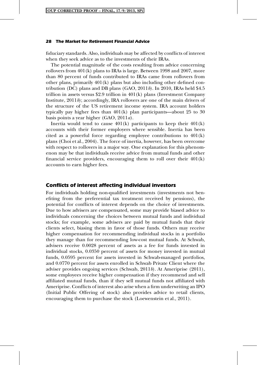fiduciary standards. Also, individuals may be affected by conflicts of interest when they seek advice as to the investments of their IRAs.

The potential magnitude of the costs resulting from advice concerning rollovers from 401(k) plans to IRAs is large. Between 1998 and 2007, more than 80 percent of funds contributed to IRAs came from rollovers from other plans, primarily 401(k) plans but also including other defined contribution (DC) plans and DB plans  $(GAO, 2011b)$ . In 2010, IRAs held \$4.5 trillion in assets versus \$2.9 trillion in  $401(k)$  plans (Investment Company Institute,  $2011b$ ; accordingly, IRA rollovers are one of the main drivers of the structure of the US retirement income system. IRA account holders typically pay higher fees than 401(k) plan participants—about 25 to 30 basis points a year higher (GAO, 2011a).

Inertia would tend to cause  $401(k)$  participants to keep their  $401(k)$ accounts with their former employers where sensible. Inertia has been cited as a powerful force regarding employee contributions to  $401(k)$ plans (Choi et al., 2004). The force of inertia, however, has been overcome with respect to rollovers in a major way. One explanation for this phenomenon may be that individuals receive advice from mutual funds and other financial service providers, encouraging them to roll over their  $401(k)$ accounts to earn higher fees.

# Conflicts of interest affecting individual investors

For individuals holding non-qualified investments (investments not benefiting from the preferential tax treatment received by pensions), the potential for conflicts of interest depends on the choice of investments. Due to how advisers are compensated, some may provide biased advice to individuals concerning the choices between mutual funds and individual stocks; for example, some advisers are paid by mutual funds that their clients select, biasing them in favor of those funds. Others may receive higher compensation for recommending individual stocks in a portfolio they manage than for recommending low-cost mutual funds. At Schwab, advisers receive 0.0028 percent of assets as a fee for funds invested in individual stocks, 0.0350 percent of assets for money invested in mutual funds, 0.0595 percent for assets invested in Schwab-managed portfolios, and 0.0770 percent for assets enrolled in Schwab Private Client where the adviser provides ongoing services (Schwab, 2011b). At Ameriprise (2011), some employees receive higher compensation if they recommend and sell affiliated mutual funds, than if they sell mutual funds not affiliated with Ameriprise. Conflicts of interest also arise when a firm underwriting an IPO (Initial Public Offering of stock) also provides advice to retail clients, encouraging them to purchase the stock (Loewenstein et al., 2011).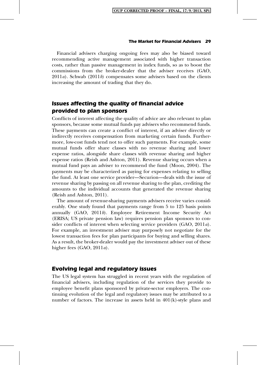Financial advisers charging ongoing fees may also be biased toward recommending active management associated with higher transaction costs, rather than passive management in index funds, so as to boost the commissions from the broker-dealer that the adviser receives (GAO,  $2011a$ ). Schwab (2011b) compensates some advisers based on the clients increasing the amount of trading that they do.

# Issues affecting the quality of financial advice provided to plan sponsors

Conflicts of interest affecting the quality of advice are also relevant to plan sponsors, because some mutual funds pay advisers who recommend funds. These payments can create a conflict of interest, if an adviser directly or indirectly receives compensation from marketing certain funds. Furthermore, low-cost funds tend not to offer such payments. For example, some mutual funds offer share classes with no revenue sharing and lower expense ratios, alongside share classes with revenue sharing and higher expense ratios (Reish and Ashton, 2011). Revenue sharing occurs when a mutual fund pays an adviser to recommend the fund (Moon, 2004). The payments may be characterized as paying for expenses relating to selling the fund. At least one service provider—Securion—deals with the issue of revenue sharing by passing on all revenue sharing to the plan, crediting the amounts to the individual accounts that generated the revenue sharing (Reish and Ashton, 2011).

The amount of revenue-sharing payments advisers receive varies considerably. One study found that payments range from 5 to 125 basis points annually (GAO, 2011b). Employee Retirement Income Security Act (ERISA; US private pension law) requires pension plan sponsors to consider conflicts of interest when selecting service providers (GAO, 2011a). For example, an investment adviser may purposely not negotiate for the lowest transaction fees for plan participants for buying and selling shares. As a result, the broker-dealer would pay the investment adviser out of these higher fees  $(GAO, 2011a)$ .

# Evolving legal and regulatory issues

The US legal system has struggled in recent years with the regulation of financial advisers, including regulation of the services they provide to employee benefit plans sponsored by private-sector employers. The continuing evolution of the legal and regulatory issues may be attributed to a number of factors. The increase in assets held in  $401(k)$ -style plans and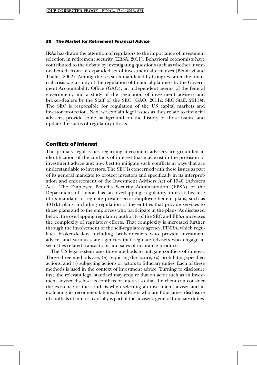IRAs has drawn the attention of regulators to the importance of investment selection in retirement security (EBSA, 2011). Behavioral economists have contributed to the debate by investigating questions such as whether investors benefit from an expanded set of investment alternatives (Benartzi and Thaler, 2002). Among the research mandated by Congress after the financial crisis was a study of the regulation of financial planners by the Government Accountability Office (GAO), an independent agency of the federal government, and a study of the regulation of investment advisers and broker-dealers by the Staff of the SEC (GAO, 2011b; SEC Staff, 2011b). The SEC is responsible for regulation of the US capital markets and investor protection. Next we explain legal issues as they relate to financial advisers, provide some background on the history of those issues, and update the status of regulatory efforts.

# Conflicts of interest

The primary legal issues regarding investment advisers are grounded in identification of the conflicts of interest that may exist in the provision of investment advice and how best to mitigate such conflicts in ways that are understandable to investors. The SEC is concerned with these issues as part of its general mandate to protect investors and specifically in its interpretation and enforcement of the Investment Advisers Act of 1940 (Advisers Act). The Employee Benefits Security Administration (EBSA) of the Department of Labor has an overlapping regulatory interest because of its mandate to regulate private-sector employee benefit plans, such as 401(k) plans, including regulation of the entities that provide services to those plans and to the employees who participate in the plans. As discussed below, the overlapping regulatory authority of the SEC and EBSA increases the complexity of regulatory efforts. That complexity is increased further through the involvement of the self-regulatory agency, FINRA, which regulates broker-dealers including broker-dealers who provide investment advice, and various state agencies that regulate advisers who engage in securities-related transactions and sales of insurance products.

The US legal system uses three methods to mitigate conflicts of interest. Those three methods are: (*a*) requiring disclosure, (*b*) prohibiting specified actions, and  $(c)$  subjecting actions or actors to fiduciary duties. Each of these methods is used in the context of investment advice. Turning to disclosure first, the relevant legal standard may require that an actor such as an investment adviser disclose its conflicts of interest so that the client can consider the existence of the conflicts when selecting an investment adviser and in evaluating its recommendations. For advisers who are fiduciaries, disclosure of conflicts of interest typically is part of the adviser's general fiduciary duties.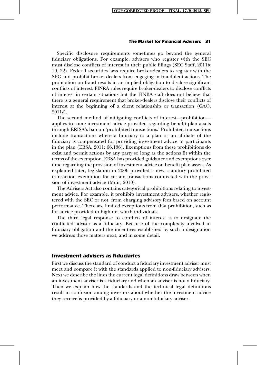Specific disclosure requirements sometimes go beyond the general fiduciary obligations. For example, advisers who register with the SEC must disclose conflicts of interest in their public filings (SEC Staff, 2011*b*: 19, 22). Federal securities laws require broker-dealers to register with the SEC and prohibit broker-dealers from engaging in fraudulent actions. The prohibition on fraud results in an implied obligation to disclose significant conflicts of interest. FINRA rules require broker-dealers to disclose conflicts of interest in certain situations but the FINRA staff does not believe that there is a general requirement that broker-dealers disclose their conflicts of interest at the beginning of a client relationship or transaction (GAO,  $2011b$ .

The second method of mitigating conflicts of interest—prohibition applies to some investment advice provided regarding benefit plan assets through ERISA's ban on 'prohibited transactions.' Prohibited transactions include transactions where a fiduciary to a plan or an affiliate of the fiduciary is compensated for providing investment advice to participants in the plan (EBSA, 2011: 66,136). Exemptions from these prohibitions do exist and permit actions by any party so long as the actions fit within the terms of the exemption. EBSA has provided guidance and exemptions over time regarding the provision of investment advice on benefit plan assets. As explained later, legislation in 2006 provided a new, statutory prohibited transaction exemption for certain transactions connected with the provision of investment advice (Muir, 2010).

The Advisers Act also contains categorical prohibitions relating to investment advice. For example, it prohibits investment advisers, whether registered with the SEC or not, from charging advisory fees based on account performance. There are limited exceptions from that prohibition, such as for advice provided to high net worth individuals.

The third legal response to conflicts of interest is to designate the conflicted adviser as a fiduciary. Because of the complexity involved in fiduciary obligation and the incentives established by such a designation we address those matters next, and in some detail.

# Investment advisers as fiduciaries

First we discuss the standard of conduct a fiduciary investment adviser must meet and compare it with the standards applied to non-fiduciary advisers. Next we describe the lines the current legal definitions draw between when an investment adviser is a fiduciary and when an adviser is not a fiduciary. Then we explain how the standards and the technical legal definitions result in confusion among investors about whether the investment advice they receive is provided by a fiduciary or a non-fiduciary adviser.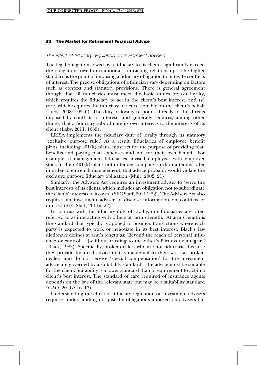# The effect of fiduciary regulation on investment advisers

The legal obligations owed by a fiduciary to its clients significantly exceed the obligations owed in traditional contracting relationships. The higher standard is the point of imposing a fiduciary obligation to mitigate conflicts of interest. The precise obligations of a fiduciary vary depending on factors such as context and statutory provisions. There is general agreement though that all fiduciaries must meet the basic duties of: (a) loyalty, which requires the fiduciary to act in the client's best interest, and  $(b)$ care, which requires the fiduciary to act reasonably on the client's behalf (Laby, 2008: 105–6). The duty of loyalty responds directly to the threats imposed by conflicts of interests and generally requires, among other things, that a fiduciary subordinate its own interests to the interests of its client (Laby, 2011: 1055).

ERISA implements the fiduciary duty of loyalty through its statutory 'exclusive purpose rule.' As a result, fiduciaries of employee benefit plans, including 401(k) plans, must act for the purpose of providing plan benefits and paying plan expenses and not for their own benefit. For example, if management fiduciaries advised employees with employer stock in their 401(k) plans not to tender company stock in a tender offer in order to entrench management, that advice probably would violate the exclusive purpose fiduciary obligation (Muir, 2002: 21).

Similarly, the Advisers Act requires an investment adviser to 'serve the best interests of its clients, which includes an obligation not to subordinate the clients' interests to its own' (SEC Staff, 2011b: 22). The Advisers Act also requires an investment adviser to disclose information on conflicts of interest (SEC Staff, 2011b: 22).

In contrast with the fiduciary duty of loyalty, non-fiduciaries are often referred to as interacting with others at 'arm's length.' At arm's length is the standard that typically is applied to business transactions where each party is expected to work or negotiate in its best interest. Black's law dictionary defines at arm's length as: 'Beyond the reach of personal influence or control... [w] ithout trusting to the other's fairness or integrity' (Black, 1983). Specifically, broker-dealers who are not fiduciaries because they provide financial advice that is incidental to their work as brokerdealers and do not receive 'special compensation' for the investment advice are governed by a suitability standard—the advice must be suitable for the client. Suitability is a lower standard than a requirement to act in a client's best interest. The standard of care required of insurance agents depends on the law of the relevant state but may be a suitability standard  $(GAO, 2011b. 16-17)$ .

Understanding the effect of fiduciary regulation on investment advisers requires understanding not just the obligations imposed on advisers but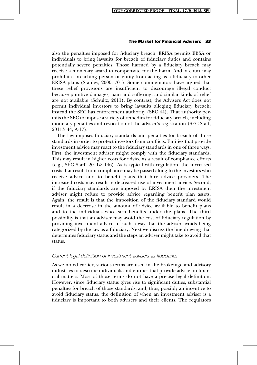also the penalties imposed for fiduciary breach. ERISA permits EBSA or individuals to bring lawsuits for breach of fiduciary duties and contains potentially severe penalties. Those harmed by a fiduciary breach may receive a monetary award to compensate for the harm. And, a court may prohibit a breaching person or entity from acting as a fiduciary to other ERISA plans (Stanley, 2000: 701). Some commentators have argued that these relief provisions are insufficient to discourage illegal conduct because punitive damages, pain and suffering, and similar kinds of relief are not available (Schultz, 2011). By contrast, the Advisers Act does not permit individual investors to bring lawsuits alleging fiduciary breach; instead the SEC has enforcement authority (SEC 44). That authority permits the SEC to impose a variety of remedies for fiduciary breach, including monetary penalties and revocation of the adviser's registration (SEC Staff,  $2011b$ : 44, A-17).

The law imposes fiduciary standards and penalties for breach of those standards in order to protect investors from conflicts. Entities that provide investment advice may react to the fiduciary standards in one of three ways. First, the investment adviser might comply with the fiduciary standards. This may result in higher costs for advice as a result of compliance efforts (e.g., SEC Staff,  $2011b$ : 146). As is typical with regulation, the increased costs that result from compliance may be passed along to the investors who receive advice and to benefit plans that hire advice providers. The increased costs may result in decreased use of investment advice. Second, if the fiduciary standards are imposed by ERISA then the investment adviser might refuse to provide advice regarding benefit plan assets. Again, the result is that the imposition of the fiduciary standard would result in a decrease in the amount of advice available to benefit plans and to the individuals who earn benefits under the plans. The third possibility is that an adviser may avoid the cost of fiduciary regulation by providing investment advice in such a way that the adviser avoids being categorized by the law as a fiduciary. Next we discuss the line drawing that determines fiduciary status and the steps an adviser might take to avoid that status.

# Current legal definition of investment advisers as fiduciaries

As we noted earlier, various terms are used in the brokerage and advisory industries to describe individuals and entities that provide advice on financial matters. Most of those terms do not have a precise legal definition. However, since fiduciary status gives rise to significant duties, substantial penalties for breach of those standards, and, thus, possibly an incentive to avoid fiduciary status, the definition of when an investment adviser is a fiduciary is important to both advisers and their clients. The regulators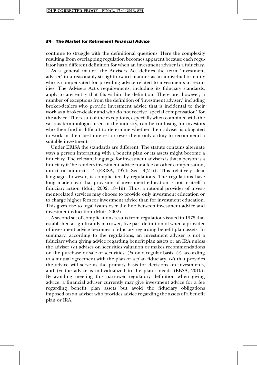continue to struggle with the definitional questions. Here the complexity resulting from overlapping regulation becomes apparent because each regulator has a different definition for when an investment adviser is a fiduciary.

As a general matter, the Advisers Act defines the term 'investment adviser' in a reasonably straightforward manner as an individual or entity who is compensated for providing advice related to investments in securities. The Advisers Act's requirements, including its fiduciary standards, apply to any entity that fits within the definition. There are, however, a number of exceptions from the definition of 'investment adviser,' including broker-dealers who provide investment advice that is incidental to their work as a broker-dealer and who do not receive 'special compensation' for the advice. The result of the exceptions, especially when combined with the various terminologies used in the industry, can be confusing for investors who then find it difficult to determine whether their adviser is obligated to work in their best interest or owes them only a duty to recommend a suitable investment.

Under ERISA the standards are different. The statute contains alternate ways a person interacting with a benefit plan or its assets might become a fiduciary. The relevant language for investment advisers is that a person is a fiduciary if 'he renders investment advice for a fee or other compensation, direct or indirect...' (ERISA, 1974: Sec.  $3(21)$ ). This relatively clear language, however, is complicated by regulations. The regulations have long made clear that provision of investment education is not in itself a fiduciary action (Muir, 2002: 18–19). Thus, a rational provider of investment-related services may choose to provide only investment education or to charge higher fees for investment advice than for investment education. This gives rise to legal issues over the line between investment advice and investment education (Muir, 2002).

A second set of complications results from regulations issued in 1975 that established a significantly narrower, five-part definition of when a provider of investment advice becomes a fiduciary regarding benefit plan assets. In summary, according to the regulations, an investment adviser is not a fiduciary when giving advice regarding benefit plan assets or an IRA unless the adviser (a) advises on securities valuation or makes recommendations on the purchase or sale of securities,  $(b)$  on a regular basis,  $(c)$  according to a mutual agreement with the plan or a plan fiduciary,  $(d)$  that provides the advice will serve as the primary basis for decisions on investments, and  $(e)$  the advice is individualized to the plan's needs (EBSA, 2010). By avoiding meeting this narrower regulatory definition when giving advice, a financial adviser currently may give investment advice for a fee regarding benefit plan assets but avoid the fiduciary obligations imposed on an adviser who provides advice regarding the assets of a benefit plan or IRA.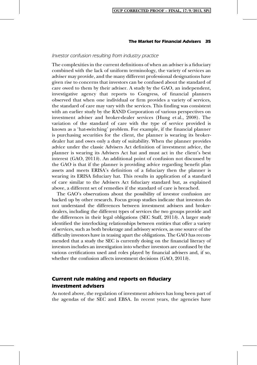# Investor confusion resulting from industry practice

The complexities in the current definitions of when an adviser is a fiduciary combined with the lack of uniform terminology, the variety of services an adviser may provide, and the many different professional designations have given rise to concerns that investors can be confused about the standard of care owed to them by their adviser. A study by the GAO, an independent, investigative agency that reports to Congress, of financial planners observed that when one individual or firm provides a variety of services, the standard of care may vary with the services. This finding was consistent with an earlier study by the RAND Corporation of various perspectives on investment adviser and broker-dealer services (Hung et al., 2008). The variation of the standard of care with the type of service provided is known as a 'hat-switching' problem. For example, if the financial planner is purchasing securities for the client, the planner is wearing its brokerdealer hat and owes only a duty of suitability. When the planner provides advice under the classic Advisers Act definition of investment advice, the planner is wearing its Advisers Act hat and must act in the client's best interest  $(GAO, 2011b)$ . An additional point of confusion not discussed by the GAO is that if the planner is providing advice regarding benefit plan assets and meets ERISA's definition of a fiduciary then the planner is wearing its ERISA fiduciary hat. This results in application of a standard of care similar to the Advisers Act fiduciary standard but, as explained above, a different set of remedies if the standard of care is breached.

The GAO's observations about the possibility of investor confusion are backed up by other research. Focus group studies indicate that investors do not understand the differences between investment advisers and brokerdealers, including the different types of services the two groups provide and the differences in their legal obligations (SEC Staff,  $2011b$ ). A larger study identified the interlocking relationships between entities that offer a variety of services, such as both brokerage and advisory services, as one source of the difficulty investors have in teasing apart the obligations. The GAO has recommended that a study the SEC is currently doing on the financial literacy of investors includes an investigation into whether investors are confused by the various certifications used and roles played by financial advisers and, if so, whether the confusion affects investment decisions (GAO, 2011b).

# Current rule making and reports on fiduciary investment advisers

As noted above, the regulation of investment advisers has long been part of the agendas of the SEC and EBSA. In recent years, the agencies have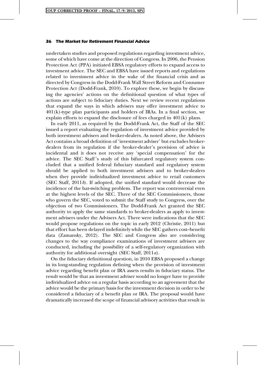undertaken studies and proposed regulations regarding investment advice, some of which have come at the direction of Congress. In 2006, the Pension Protection Act (PPA) initiated EBSA regulatory efforts to expand access to investment advice. The SEC and EBSA have issued reports and regulations related to investment advice in the wake of the financial crisis and as directed by Congress in the Dodd-Frank Wall Street Reform and Consumer Protection Act (Dodd-Frank, 2010). To explore these, we begin by discussing the agencies' actions on the definitional question of what types of actions are subject to fiduciary duties. Next we review recent regulations that expand the ways in which advisers may offer investment advice to  $401(k)$ -type plan participants and holders of IRAs. In a final section, we explain efforts to expand the disclosure of fees charged in 401(k) plans.

In early 2011, as required by the Dodd-Frank Act, the Staff of the SEC issued a report evaluating the regulation of investment advice provided by both investment advisers and broker-dealers. As noted above, the Advisers Act contains a broad definition of 'investment adviser' but excludes brokerdealers from its regulation if the broker-dealer's provision of advice is incidental and it does not receive any 'special compensation' for the advice. The SEC Staff 's study of this bifurcated regulatory system concluded that a unified federal fiduciary standard and regulatory system should be applied to both investment advisers and to broker-dealers when they provide individualized investment advice to retail customers (SEC Staff,  $2011b$ ). If adopted, the unified standard would decrease the incidence of the hat-switching problem. The report was controversial even at the highest levels of the SEC. Three of the SEC Commissioners, those who govern the SEC, voted to submit the Staff study to Congress, over the objection of two Commissioners. The Dodd-Frank Act granted the SEC authority to apply the same standards to broker-dealers as apply to investment advisers under the Advisers Act. There were indications that the SEC would propose regulations on the topic in early 2012 (Christie, 2011) but that effort has been delayed indefinitely while the SEC gathers cost–benefit data (Zamansky, 2012). The SEC and Congress also are considering changes to the way compliance examinations of investment advisers are conducted, including the possibility of a self-regulatory organization with authority for additional oversight (SEC Staff, 2011a).

On the fiduciary definitional question, in 2010 EBSA proposed a change in its long-standing regulation defining when the provision of investment advice regarding benefit plan or IRA assets results in fiduciary status. The result would be that an investment adviser would no longer have to provide individualized advice on a regular basis according to an agreement that the advice would be the primary basis for the investment decision in order to be considered a fiduciary of a benefit plan or IRA. The proposal would have dramatically increased the scope of financial advisory activities that result in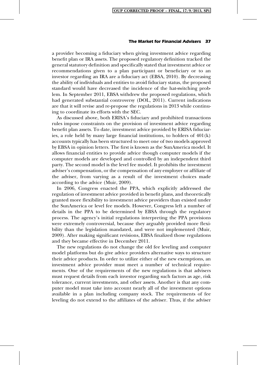a provider becoming a fiduciary when giving investment advice regarding benefit plan or IRA assets. The proposed regulatory definition tracked the general statutory definition and specifically stated that investment advice or recommendations given to a plan participant or beneficiary or to an investor regarding an IRA are a fiduciary act (EBSA, 2010). By decreasing the ability of individuals and entities to avoid fiduciary status, the proposed standard would have decreased the incidence of the hat-switching problem. In September 2011, EBSA withdrew the proposed regulations, which had generated substantial controversy (DOL, 2011). Current indications are that it will revise and re-propose the regulations in 2013 while continuing to coordinate its efforts with the SEC.

As discussed above, both ERISA's fiduciary and prohibited transactions rules impose constraints on the provision of investment advice regarding benefit plan assets. To date, investment advice provided by ERISA fiduciaries, a role held by many large financial institutions, to holders of 401(k) accounts typically has been structured to meet one of two models approved by EBSA in opinion letters. The first is known as the SunAmerica model. It allows financial entities to provide advice though computer models if the computer models are developed and controlled by an independent third party. The second model is the level fee model. It prohibits the investment adviser's compensation, or the compensation of any employer or affiliate of the adviser, from varying as a result of the investment choices made according to the advice (Muir, 2009).

In 2006, Congress enacted the PPA, which explicitly addressed the regulation of investment advice provided in benefit plans, and theoretically granted more flexibility to investment advice providers than existed under the SunAmerica or level fee models. However, Congress left a number of details in the PPA to be determined by EBSA through the regulatory process. The agency's initial regulations interpreting the PPA provisions were extremely controversial, because they arguably provided more flexibility than the legislation mandated, and were not implemented (Muir, 2009). After making significant revisions, EBSA finalized those regulations and they became effective in December 2011.

The new regulations do not change the old fee leveling and computer model platforms but do give advice providers alternative ways to structure their advice products. In order to utilize either of the new exemptions, an investment advice provider must meet a number of technical requirements. One of the requirements of the new regulations is that advisers must request details from each investor regarding such factors as age, risk tolerance, current investments, and other assets. Another is that any computer model must take into account nearly all of the investment options available in a plan including company stock. The requirements of fee leveling do not extend to the affiliates of the adviser. Thus, if the adviser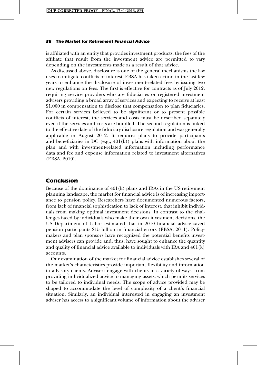is affiliated with an entity that provides investment products, the fees of the affiliate that result from the investment advice are permitted to vary depending on the investments made as a result of that advice.

As discussed above, disclosure is one of the general mechanisms the law uses to mitigate conflicts of interest. EBSA has taken action in the last few years to enhance the disclosure of investment-related fees by issuing two new regulations on fees. The first is effective for contracts as of July 2012, requiring service providers who are fiduciaries or registered investment advisers providing a broad array of services and expecting to receive at least \$1,000 in compensation to disclose that compensation to plan fiduciaries. For certain services believed to be significant or to present possible conflicts of interest, the services and costs must be described separately even if the services and costs are bundled. The second regulation is linked to the effective date of the fiduciary disclosure regulation and was generally applicable in August 2012. It requires plans to provide participants and beneficiaries in DC (e.g.,  $401(k)$ ) plans with information about the plan and with investment-related information including performance data and fee and expense information related to investment alternatives (EBSA, 2010).

# Conclusion

Because of the dominance of 401(k) plans and IRAs in the US retirement planning landscape, the market for financial advice is of increasing importance to pension policy. Researchers have documented numerous factors, from lack of financial sophistication to lack of interest, that inhibit individuals from making optimal investment decisions. In contrast to the challenges faced by individuals who make their own investment decisions, the US Department of Labor estimated that in 2010 financial advice saved pension participants \$15 billion in financial errors (EBSA, 2011). Policymakers and plan sponsors have recognized the potential benefits investment advisers can provide and, thus, have sought to enhance the quantity and quality of financial advice available to individuals with IRA and  $401(k)$ accounts.

Our examination of the market for financial advice establishes several of the market's characteristics provide important flexibility and information to advisory clients. Advisers engage with clients in a variety of ways, from providing individualized advice to managing assets, which permits services to be tailored to individual needs. The scope of advice provided may be shaped to accommodate the level of complexity of a client's financial situation. Similarly, an individual interested in engaging an investment adviser has access to a significant volume of information about the adviser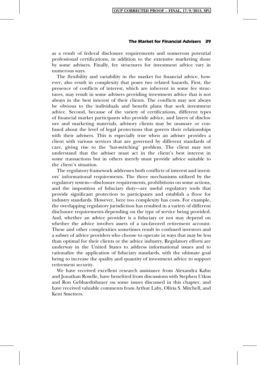as a result of federal disclosure requirements and numerous potential professional certifications, in addition to the extensive marketing done by some advisers. Finally, fee structures for investment advice vary in numerous ways.

The flexibility and variability in the market for financial advice, however, also result in complexity that poses two related hazards. First, the presence of conflicts of interest, which are inherent in some fee structures, may result in some advisers providing investment advice that is not always in the best interest of their clients. The conflicts may not always be obvious to the individuals and benefit plans that seek investment advice. Second, because of the variety of certifications, different types of financial market participants who provide advice, and layers of disclosure and marketing materials, advisory clients may be unaware or confused about the level of legal protections that govern their relationships with their advisers. This is especially true when an adviser provides a client with various services that are governed by different standards of care, giving rise to the 'hat-switching' problem. The client may not understand that the adviser must act in the client's best interest in some transactions but in others merely must provide advice suitable to the client's situation.

The regulatory framework addresses both conflicts of interest and investors' informational requirements. The three mechanisms utilized by the regulatory system—disclosure requirements, prohibitions on some actions, and the imposition of fiduciary duty—are useful regulatory tools that provide significant protection to participants and establish a floor for industry standards. However, here too complexity has costs. For example, the overlapping regulatory jurisdiction has resulted in a variety of different disclosure requirements depending on the type of service being provided. And, whether an advice provider is a fiduciary or not may depend on whether the advice involves assets of a tax-favored retirement account. These and other complexities sometimes result in confused investors and a subset of advice providers who choose to operate in ways that may be less than optimal for their clients or the advice industry. Regulatory efforts are underway in the United States to address informational issues and to rationalize the application of fiduciary standards, with the ultimate goal being to increase the quality and quantity of investment advice to support retirement security.

We have received excellent research assistance from Alexandra Kahn and Jonathan Roselle, have benefited from discussions with Stephen Utkus and Ron Gebhardtsbauer on some issues discussed in this chapter, and have received valuable comments from Arthur Laby, Olivia S. Mitchell, and Kent Smetters.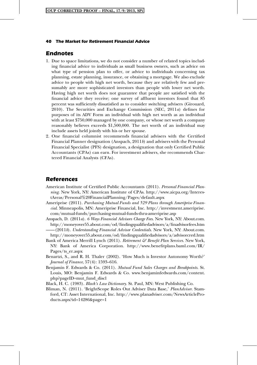# Endnotes

- 1. Due to space limitations, we do not consider a number of related topics including financial advice to individuals as small business owners, such as advice on what type of pension plan to offer, or advice to individuals concerning tax planning, estate planning, insurance, or obtaining a mortgage. We also exclude advice to people with high net worth, because they are relatively few and presumably are more sophisticated investors than people with lower net worth. Having high net worth does not guarantee that people are satisfied with the financial advice they receive; one survey of affluent investors found that 85 percent was sufficiently dissatisfied as to consider switching advisers (Girouard, 2010). The Securities and Exchange Commission (SEC, 2011a) defines for purposes of its ADV Form an individual with high net worth as an individual with at least \$750,000 managed by one company, or whose net worth a company reasonably believes exceeds \$1,500,000. The net worth of an individual may include assets held jointly with his or her spouse.
- 2. One financial columnist recommends financial advisers with the Certified Financial Planner designation (Anspach, 2011b) and advisers with the Personal Financial Specialist (PFS) designation, a designation that only Certified Public Accountants (CPAs) can earn. For investment advisers, she recommends Chartered Financial Analysts (CFAs).

# References

- American Institute of Certified Public Accountants (2011). Personal Financial Planning. New York, NY: American Institute of CPAs. http://www.aicpa.org/InterestAreas/Personal%20FinancialPlanning/Pages/default.aspx
- Ameriprise (2011). Purchasing Mutual Funds and 529 Plans through Ameriprise Financial. Minneapolis, MN: Ameriprise Financial, Inc. http://investment.ameriprise. com/mutual-funds/purchasing-mutual-funds-thru-ameriprise.asp
- Anspach, D. (2011a). 6 Ways Financial Advisors Charge Fees. New York, NY: About.com. http://moneyover55.about.com/od/findingqualifiedadvisors/a/finadvisorfees.htm  $-(2011b)$ . Understanding Financial Advisor Credentials. New York, NY: About.com.
- http://moneyover55.about.com/od/findingqualifiedadvisors/a/advisorcred.htm Bank of America Merrill Lynch (2011). Retirement  $\mathcal{F}$  Benefit Plan Services. New York,
- NY: Bank of America Corporation. http://www.benefitplans.baml.com/IR/ Pages/ts\_er.aspx
- Benartzi, S., and R. H. Thaler (2002). 'How Much is Investor Autonomy Worth?' Journal of Finance, 57(4): 1593–616.
- Benjamin F. Edwards & Co. (2011). Mutual Fund Sales Charges and Breakpoints. St. Louis, MO: Benjamin F. Edwards & Co. www.benjaminfedwards.com/content. php?pageID=mut\_fund\_discl
- Black, H. C. (1983). Black's Law Dictionary. St. Paul, MN: West Publishing Co.
- Bliman, N. (2011). 'BrightScope Roles Out Adviser Data Base,' PlanAdviser. Stamford, CT: Asset International, Inc. http://www.planadviser.com/NewsArticleProducts.aspx?id=14286&page=1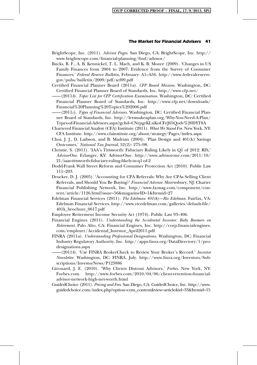- BrightScope, Inc. (2011). Advisor Pages. San Diego, CA: BrightScope, Inc. http:// www.brightscope.com/financial-planning/find/advisor/
- Bucks, B. F., A. B. Kennickel, T. L. Mach, and K. B. Moore (2009). 'Changes in US Family Finances from 2004 to 2007: Evidence from the Survey of Consumer Finances,' Federal Reserve Bulletin, February: A1–A56. http://www.federalreserve. gov/pubs/bulletin/2009/pdf/scf09.pdf
- Certified Financial Planner Board (2011a). CFP Board Mission. Washington, DC: Certified Financial Planner Board of Standards, Inc. http://www.cfp.net/
- $-(2011b)$ . Topic List for CFP Certification Examination. Washington, DC: Certified Financial Planner Board of Standards, Inc. http://www.cfp.net/downloads/ Financial%20Planning%20Topics%202006.pdf
- $-(2011c)$ . Types of Financial Advisors. Washington, DC: Certified Financial Planner Board of Standards, Inc. http://letsmakeaplan.org/Why-You-Need-A-Plan/ Types-of-Financial-Advisors.aspx?gclid=CNrpgrKLuKoCFeJ65Qodv%20DYT8A
- Chartered Financial Analyst (CFA) Institute (2011). What We Stand For. New York, NY: CFA Institute. http://www.cfainstitute.org/about/strategy/Pages/index.aspx
- Choi, J. J., D. Laibson, and B. Madrian (2004). 'Plan Design and 401(k) Savings Outcomes,' National Tax Journal, 52(2): 275–98.
- Christie, S. (2011). 'IAA's Tittsworth: Fiduciary Ruling Likely in Q1 of 2012: RIS,' AdvisorOne. Erlanger, KY: AdvisorOne. http://www.advisorone.com/2011/10/ 21/iaas-tittsworth-fiduciary-ruling-likely-in-q1-of-2
- Dodd-Frank Wall Street Reform and Consumer Protection Act (2010). Public Law 111–203.
- Drucker, D. J. (2005). 'Accounting for CPA Referrals: Why Are CPAs Selling Client Referrals, and Should You Be Buying?' Financial Advisor. Shrewsbury, NJ: Charter Financial Publishing Network, Inc. http://www.fa-mag.com/component/content/article/1126.html?issue=56&magazineID=1&Itemid=27
- Edelman Financial Services (2011). The Edelman 401(k)—Ric Edelman. Fairfax, VA: Edelman Financial Services. http://www.ricedelman.com/galleries/default-file/ 401k\_brochure\_0617.pdf
- Employee Retirement Income Security Act (1974). Public Law 93–406.
- Financial Engines (2011). Understanding the Accidental Investor: Baby Boomers on Retirement. Palo Alto, CA: Financial Engines, Inc. http://corp.financialengines. com/employer/Accidental\_Investor\_April2011.pdf
- FINRA (2011a). Understanding Professional Designations. Washington, DC: Financial Industry Regulatory Authority, Inc. http://apps.finra.org/DataDirectory/1/prodesignations.aspx
- -(2011b). 'Use FINRA BrokerCheck to Review Your Broker's Record.' Investor Newsletter. Washington, DC: FINRA. July. http://www.finra.org/Investors/Subscriptions/InvestorNews/P123886
- Girouard, J. E. (2010). 'Why Clients Distrust Advisors,' Forbes. New York, NY: Forbes.com. http://www.forbes.com/2010/04/06/client-retention-financialadvisor-network-high-net-worth.html
- GuidedChoice (2011). Pricing and Fees. San Diego, CA: GuidedChoice, Inc. http://www. guidedchoice.com/index.php?option=com\_content&view=article&id=33&Itemid=15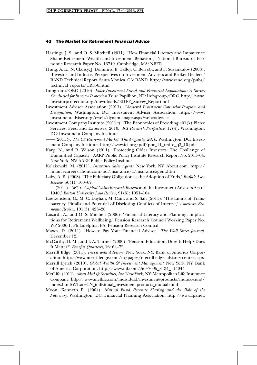- Hastings, J. S., and O. S. Mitchell (2011). 'How Financial Literacy and Impatience Shape Retirement Wealth and Investment Behaviors,' National Bureau of Economic Research Paper No. 16740. Cambridge, MA: NBER.
- Hung, A. K., N. Clancy, J. Dominitz, E. Talley, C. Berrebi, and F. Suvankulov (2008). 'Investor and Industry Perspectives on Investment Advisers and Broker-Dealers,' RAND Technical Report. Santa Monica, CA: RAND. http://www.rand.org/pubs/ technical\_reports/TR556.html
- Infogroup/ORC (2010). Elder Investment Fraud and Financial Exploitation: A Survey Conducted for Investor Protection Trust. Papillion, NE: Infogroup/ORC. http://www. investorprotection.org/downloads/EIFFE\_Survey\_Report.pdf
- Investment Adviser Association (2011). Chartered Investment Counselor Program and Designation. Washington, DC: Investment Adviser Association. https://www. investmentadviser.org/eweb/dynamicpage.aspx?webcode=cic
- Investment Company Institute (2011a). 'The Economics of Providing 401(k) Plans: Services, Fees, and Expenses, 2010.' ICI Research Perspective, 17(4). Washington, DC: Investment Company Institute.
- (2011b). The US Retirement Market: Third Quarter 2010. Washington, DC: Investment Company Institute. http://www.ici.org/pdf/ppr\_11\_retire\_q3\_10.pdf
- Karp, N., and R. Wilson (2011). 'Protecting Older Investors: The Challenge of Diminished Capacity,' AARP Public Policy Institute Research Report No. 2011–04. New York, NY: AARP Public Policy Institute.
- Kolakowski, M. (2011). Insurance Sales Agents. New York, NY: About.com. http:// financecareers.about.com/od/insurance/a/insuranceagent.htm
- Laby, A. B. (2008). 'The Fiduciary Obligation as the Adoption of Ends,' Buffalo Law Review, 56(1): 100–67.

(2011). 'SEC v. Capital Gains Research Bureau and the Investment Advisers Act of 1940,' Boston University Law Review, 91(3): 1051–104.

- Loewenstein, G., M. C. Daylian, M. Cain, and S. Sah (2011). 'The Limits of Transparency: Pitfalls and Potential of Disclosing Conflicts of Interest,' American Economic Review, 101(3): 423–28.
- Lusardi, A., and O. S. Mitchell (2006). 'Financial Literacy and Planning: Implications for Retirement Wellbeing,' Pension Research Council Working Paper No. WP 2006-1. Philadelphia, PA: Pension Research Council.
- Maxey, D. (2011). 'How to Pay Your Financial Adviser.' The Wall Street Journal. December 12.
- McCarthy, D. M., and J. A. Turner (2000). 'Pension Education: Does It Help? Does It Matter?' Benefits Quarterly, 16: 64–72.
- Merrill Edge (2011). Invest with Advisors. New York, NY: Bank of America Corporation. http://www.merrilledge.com/m/pages/merrill-edge-advisory-center.aspx
- Merrill Lynch (2010). Global Wealth  $\mathcal G$  Investment Management. New York, NY: Bank of America Corporation. http://www.ml.com/?id=7695\_8134\_114044
- MetLife (2011). About MetLife Securities, Inc. New York, NY: Metropolitan Life Insurance Company. http://www.metlife.com/individual/investment-products/mutual-fund/ index.html?WT.ac=GN\_individual\_investment-products\_mutual-fund
- Moon, Kenneth P. (2004). Mutual Fund Revenue Sharing and the Role of the Fiduciary. Washington, DC: Financial Planning Association. http://www.fpanet.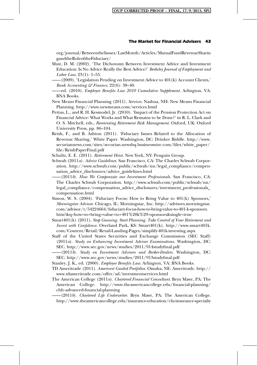org/journal/BetweentheIssues/LastMonth/Articles/MutualFundRevenueSharin gandtheRoleoftheFiduciary/

- Muir, D. M. (2002). 'The Dichotomy Between Investment Advice and Investment Education: Is No Advice Really the Best Advice?' Berkeley Journal of Employment and Labor Law, 23(1): 1–55.
- ——(2009). 'Legislation Pending on Investment Advice to 401(k) Account Clients,' Bank Accounting  $\mathcal{E}$  Finance, 22(6): 38-40.
- ed. (2010). Employee Benefits Law 2010 Cumulative Supplement. Arlington, VA: BNA Books.
- New Means Financial Planning (2011). Services. Nashua, NH: New Means Financial Planning. http://www.newmeans.com/services.html
- Pettus, L., and R. H. Kesmodel, Jr. (2010). 'Impact of the Pension Protection Act on Financial Advice: What Works and What Remains to be Done?' in R. L. Clark and O. S. Mitchell, eds., Reorienting Retirement Risk Management. Oxford, UK: Oxford University Press, pp. 86–104.
- Reish, F., and B. Ashton (2011). 'Fiduciary Issues Related to the Allocation of Revenue Sharing,' White Paper. Washington, DC: Drinker Biddle. http://www. securiannews.com/sites/securian.newshq.businesswire.com/files/white\_paper/ file/ReishPaperFinal.pdf
- Schultz, E. E. (2011). Retirement Heist. New York, NY: Penguin Group.
- Schwab (2011a). Advice Guidelines. San Francisco, CA: The Charles Schwab Corporation. http://www.schwab.com/public/schwab/nn/legal\_compliance/compensation\_advice\_disclosures/advice\_guidelines.html

 $-(2011b)$ . How We Compensate our Investment Professionals. San Francisco, CA: The Charles Schwab Corporation. http://www.schwab.com/public/schwab/nn/ legal\_compliance/compensation\_advice\_disclosures/investment\_professionals\_ compensation.html

- Simon, W. S. (2004). 'Fiduciary Focus: How to Bring Value to 401(k) Sponsors,' Morningstar Advisor. Chicago, IL: Morningstar, Inc. http://advisors.morningstar. com/advisor/t/54224664/fiduciary-focus-how-to-bring-value-to-401-k-sponsors. htm?&q=how+to+bring+value+to+401%28k%29+sponsors&single=true
- Smart401(k) (2011). Stop Guessing. Start Planning. Take Control of Your Retirement and Invest with Confidence. Overland Park, KS: Smart401(k). http://www.smart401k. com/Content/Retail/Retail-Landing-Pages/simplify-401k-investing.aspx
- Staff of the United States Securities and Exchange Commission (SEC Staff) (2011a). Study on Enhancing Investment Adviser Examinations. Washington, DC: SEC. http://www.sec.gov/news/studies/2011/914studyfinal.pdf
- $-(2011b)$ . Study on Investment Advisers and Broker-Dealers. Washington, DC: SEC. http://www.sec.gov/news/studies/2011/913studyfinal.pdf
- Stanley, J. K., ed. (2000). Employee Benefits Law. Arlington, VA: BNA Books.
- TD Ameritrade (2011). Amerivest Guided Portfolios. Omaha, NE: Ameritrade. http:// www.tdameritrade.com/offer/ad/investmentservices.html
- The American College (2011a). Chartered Financial Consultant. Bryn Mawr, PA: The American College. http://www.theamericancollege.edu/financial-planning/ chfc-advanced-financial-planning
- -(2011b). Chartered Life Underwriter. Bryn Mawr, PA: The American College. http://www.theamericancollege.edu/insurance-education/clu-insurance-specialty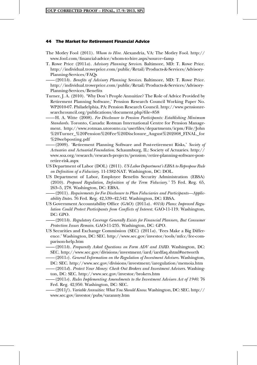- The Motley Fool (2011). Whom to Hire. Alexandria, VA: The Motley Fool. http:// www.fool.com/financial-advice/whom-to-hire.aspx?source=famp
- T. Rowe Price (2011a). Advisory Planning Services. Baltimore, MD: T. Rowe Price. http://individual.troweprice.com/public/Retail/Products-&-Services/Advisory-Planning-Services/FAQs
	- $-(2011b)$ . Benefits of Advisory Planning Services. Baltimore, MD: T. Rowe Price. http://individual.troweprice.com/public/Retail/Products-&-Services/Advisory-Planning-Services/Benefits
- Turner, J. A. (2010). 'Why Don't People Annuitize? The Role of Advice Provided by Retirement Planning Software,' Pension Research Council Working Paper No. WP2010-07. Philadelphia, PA: Pension Research Council. http://www.pensionresearchcouncil.org/publications/document.php?file=858
- ——H. A. Witte (2008). Fee Disclosure to Pension Participants: Establishing Minimum Standards. Toronto, Canada: Rotman International Centre for Pension Management. http://www.rotman.utoronto.ca/userfiles/departments/icpm/File/John %20Turner\_%20Pension%20Fee%20Disclosure\_August%202008\_FINAL\_for %20webposting.pdf
- (2009). 'Retirement Planning Software and Post-retirement Risks,' Society of Actuaries and Actuarial Foundation. Schaumburg, IL: Society of Actuaries. http:// www.soa.org/research/research-projects/pension/retire-planning-software-postretire-risk.aspx
- US Department of Labor (DOL) (2011). US Labor Department's EBSA to Repropose Rule on Definition of a Fiduciary. 11-1382-NAT. Washington, DC: DOL.
- US Department of Labor, Employee Benefits Security Administration (EBSA) (2010). Proposed Regulation, Definition of the Term 'Fiduciary.' 75 Fed. Reg. 65, 263–5, 278. Washington, DC: EBSA.
- $-(2011)$ . Requirements for Fee Disclosure to Plan Fiduciaries and Participants—Applicability Dates. 76 Fed. Reg. 42,539–42,542. Washington, DC: EBSA.
- US Government Accountability Office (GAO) (2011a). 401(k) Plans: Improved Regulation Could Protect Participants from Conflicts of Interest. GAO-11-119. Washington, DC: GPO.
- ——(2011b). Regulatory Coverage Generally Exists for Financial Planners, But Consumer Protection Issues Remain. GAO-11-235. Washington, DC: GPO.
- US Securities and Exchange Commission (SEC)  $(2011a)$ . 'Fees Make a Big Difference.' Washington, DC: SEC. http://www.sec.gov/investor/tools/mfcc/fee-comparison-help.htm
- ——(2011b). Frequently Asked Questions on Form ADV and IARD. Washington, DC: SEC. http://www.sec.gov/divisions/investment/iard/iardfaq.shtml#networth
- $-(2011c)$ . General Information on the Regulation of Investment Advisers. Washington, DC: SEC. http://www.sec.gov/divisions/investment/iaregulation/memoia.htm
- $-(2011d)$ . Protect Your Money: Check Out Brokers and Investment Advisers. Washington, DC: SEC. http://www.sec.gov/investor/brokers.htm
- $-(2011e)$ . Rules Implementing Amendments to the Investment Advisers Act of 1940. 76 Fed. Reg. 42,950. Washington, DC: SEC.
- $-(2011f)$ . Variable Annuities: What You Should Know. Washington, DC: SEC. http:// www.sec.gov/investor/pubs/varannty.htm